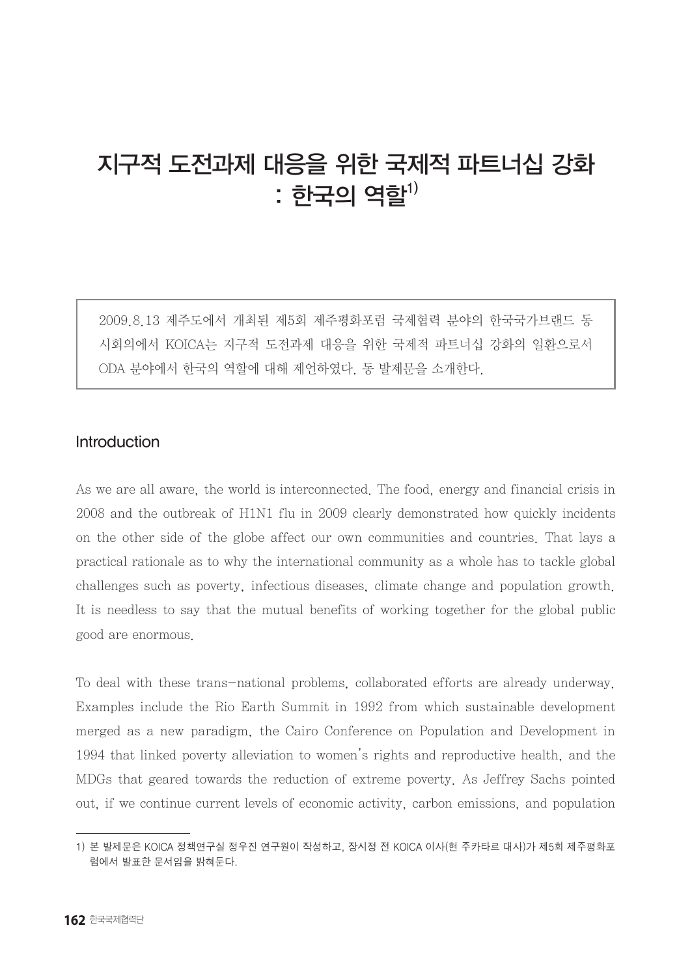# 지구적 도전과제 대응을 위한 국제적 파트너십 강화  $:$  한국의 역할 $^{1)}$

2009.8.13 제주도에서 개최된 제5회 제주평화포럼 국제협력 분야의 한국국가브랜드 동 시회의에서 KOICA는 지구적 도전과제 대응을 위한 국제적 파트너십 강화의 일환으로서 ODA 분야에서 한국의 역할에 대해 제언하였다. 동 발제문을 소개한다.

## Introduction

As we are all aware, the world is interconnected. The food, energy and financial crisis in 2008 and the outbreak of H1N1 flu in 2009 clearly demonstrated how quickly incidents on the other side of the globe affect our own communities and countries. That lays a practical rationale as to why the international community as a whole has to tackle global challenges such as poverty, infectious diseases, climate change and population growth. It is needless to say that the mutual benefits of working together for the global public good are enormous.

To deal with these trans-national problems, collaborated efforts are already underway. Examples include the Rio Earth Summit in 1992 from which sustainable development merged as a new paradigm, the Cairo Conference on Population and Development in 1994 that linked poverty alleviation to women's rights and reproductive health, and the MDGs that geared towards the reduction of extreme poverty. As Jeffrey Sachs pointed out, if we continue current levels of economic activity, carbon emissions, and population

<sup>1)</sup> 본 발제문은 KOICA 정책연구실 정우진 연구원이 작성하고, 장시정 전 KOICA 이사(현 주카타르 대사)가 제5회 제주평화포 럼에서 발표한 문서임을 밝혀둔다.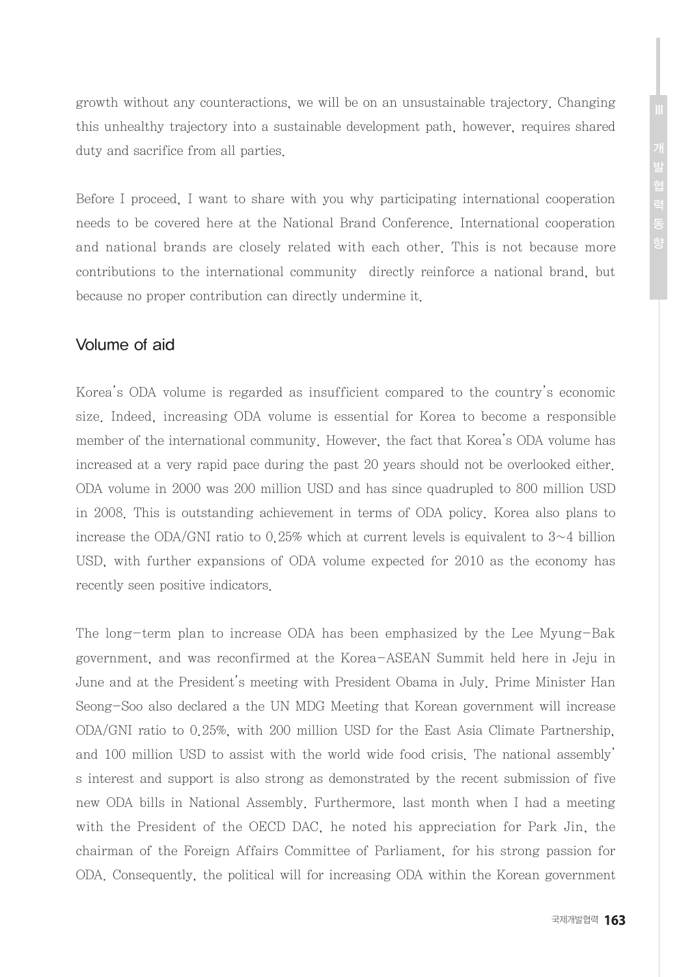growth without any counteractions, we will be on an unsustainable trajectory. Changing this unhealthy trajectory into a sustainable development path, however, requires shared duty and sacrifice from all parties.

Before I proceed, I want to share with you why participating international cooperation needs to be covered here at the National Brand Conference. International cooperation and national brands are closely related with each other. This is not because more contributions to the international community directly reinforce a national brand, but because no proper contribution can directly undermine it.

## Volume of aid

Korea's ODA volume is regarded as insufficient compared to the country's economic size. Indeed, increasing ODA volume is essential for Korea to become a responsible member of the international community. However, the fact that Korea's ODA volume has increased at a very rapid pace during the past 20 years should not be overlooked either. ODA volume in 2000 was 200 million USD and has since quadrupled to 800 million USD in 2008. This is outstanding achievement in terms of ODA policy. Korea also plans to increase the ODA/GNI ratio to 0.25% which at current levels is equivalent to  $3~1$  billion USD, with further expansions of ODA volume expected for 2010 as the economy has recently seen positive indicators.

The long-term plan to increase ODA has been emphasized by the Lee Myung-Bak government, and was reconfirmed at the Korea-ASEAN Summit held here in Jeju in June and at the President's meeting with President Obama in July. Prime Minister Han Seong-Soo also declared a the UN MDG Meeting that Korean government will increase ODA/GNI ratio to 0.25%, with 200 million USD for the East Asia Climate Partnership, and 100 million USD to assist with the world wide food crisis. The national assembly' s interest and support is also strong as demonstrated by the recent submission of five new ODA bills in National Assembly. Furthermore, last month when I had a meeting with the President of the OECD DAC, he noted his appreciation for Park Jin, the chairman of the Foreign Affairs Committee of Parliament, for his strong passion for ODA. Consequently, the political will for increasing ODA within the Korean government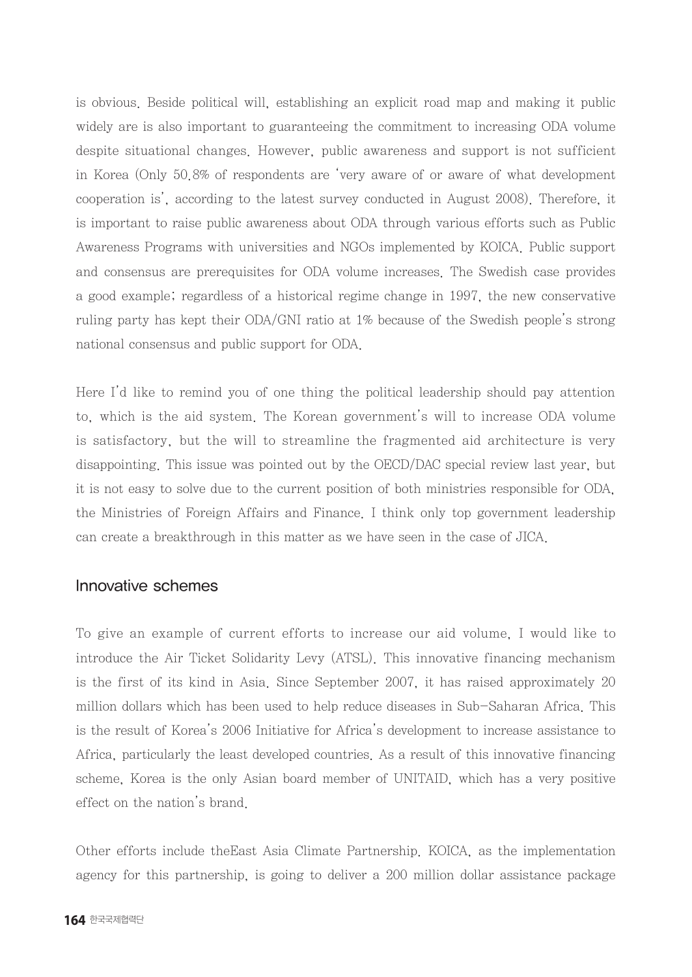is obvious. Beside political will, establishing an explicit road map and making it public widely are is also important to guaranteeing the commitment to increasing ODA volume despite situational changes. However, public awareness and support is not sufficient in Korea (Only 50.8% of respondents are 'very aware of or aware of what development cooperation is', according to the latest survey conducted in August 2008). Therefore, it is important to raise public awareness about ODA through various efforts such as Public Awareness Programs with universities and NGOs implemented by KOICA. Public support and consensus are prerequisites for ODA volume increases. The Swedish case provides a good example; regardless of a historical regime change in 1997, the new conservative ruling party has kept their ODA/GNI ratio at 1% because of the Swedish people's strong national consensus and public support for ODA.

Here I'd like to remind you of one thing the political leadership should pay attention to, which is the aid system. The Korean government's will to increase ODA volume is satisfactory, but the will to streamline the fragmented aid architecture is very disappointing. This issue was pointed out by the OECD/DAC special review last year, but it is not easy to solve due to the current position of both ministries responsible for ODA, the Ministries of Foreign Affairs and Finance. I think only top government leadership can create a breakthrough in this matter as we have seen in the case of JICA.

### Innovative schemes

To give an example of current efforts to increase our aid volume, I would like to introduce the Air Ticket Solidarity Levy (ATSL). This innovative financing mechanism is the first of its kind in Asia. Since September 2007, it has raised approximately 20 million dollars which has been used to help reduce diseases in Sub-Saharan Africa. This is the result of Korea's 2006 Initiative for Africa's development to increase assistance to Africa, particularly the least developed countries. As a result of this innovative financing scheme, Korea is the only Asian board member of UNITAID, which has a very positive effect on the nation's brand.

Other efforts include theEast Asia Climate Partnership. KOICA, as the implementation agency for this partnership, is going to deliver a 200 million dollar assistance package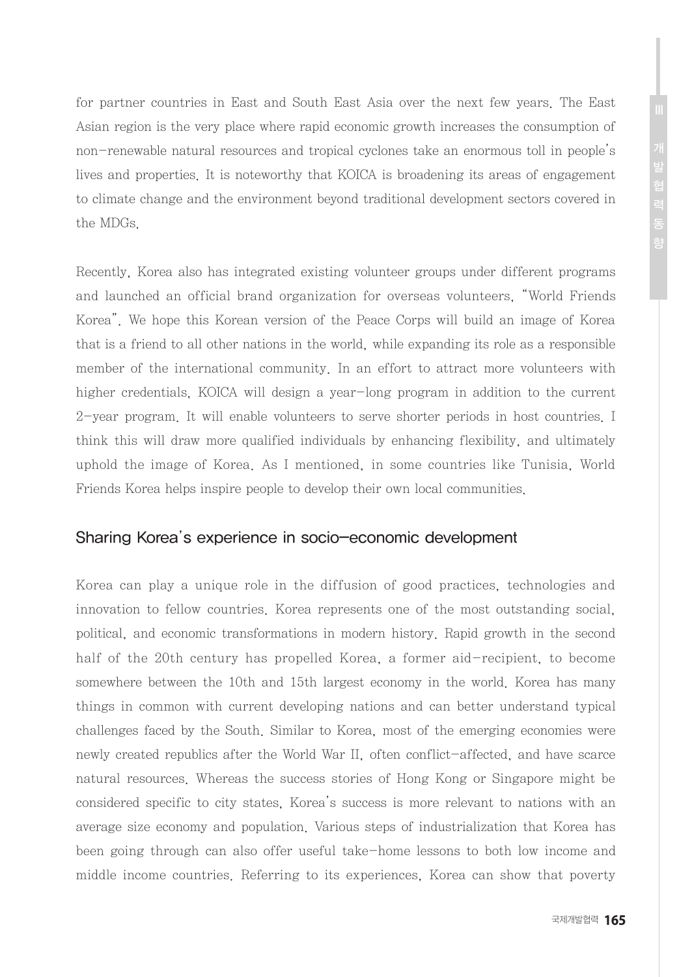for partner countries in East and South East Asia over the next few years. The East Asian region is the very place where rapid economic growth increases the consumption of non-renewable natural resources and tropical cyclones take an enormous toll in people's lives and properties. It is noteworthy that KOICA is broadening its areas of engagement to climate change and the environment beyond traditional development sectors covered in the MDGs.

Recently, Korea also has integrated existing volunteer groups under different programs and launched an official brand organization for overseas volunteers, "World Friends Korea". We hope this Korean version of the Peace Corps will build an image of Korea that is a friend to all other nations in the world, while expanding its role as a responsible member of the international community. In an effort to attract more volunteers with higher credentials, KOICA will design a year-long program in addition to the current 2-year program. It will enable volunteers to serve shorter periods in host countries. I think this will draw more qualified individuals by enhancing flexibility, and ultimately uphold the image of Korea. As I mentioned, in some countries like Tunisia, World Friends Korea helps inspire people to develop their own local communities.

## Sharing Korea's experience in socio-economic development

Korea can play a unique role in the diffusion of good practices, technologies and innovation to fellow countries. Korea represents one of the most outstanding social, political, and economic transformations in modern history. Rapid growth in the second half of the 20th century has propelled Korea, a former aid-recipient, to become somewhere between the 10th and 15th largest economy in the world. Korea has many things in common with current developing nations and can better understand typical challenges faced by the South. Similar to Korea, most of the emerging economies were newly created republics after the World War II, often conflict-affected, and have scarce natural resources. Whereas the success stories of Hong Kong or Singapore might be considered specific to city states, Korea's success is more relevant to nations with an average size economy and population. Various steps of industrialization that Korea has been going through can also offer useful take-home lessons to both low income and middle income countries. Referring to its experiences, Korea can show that poverty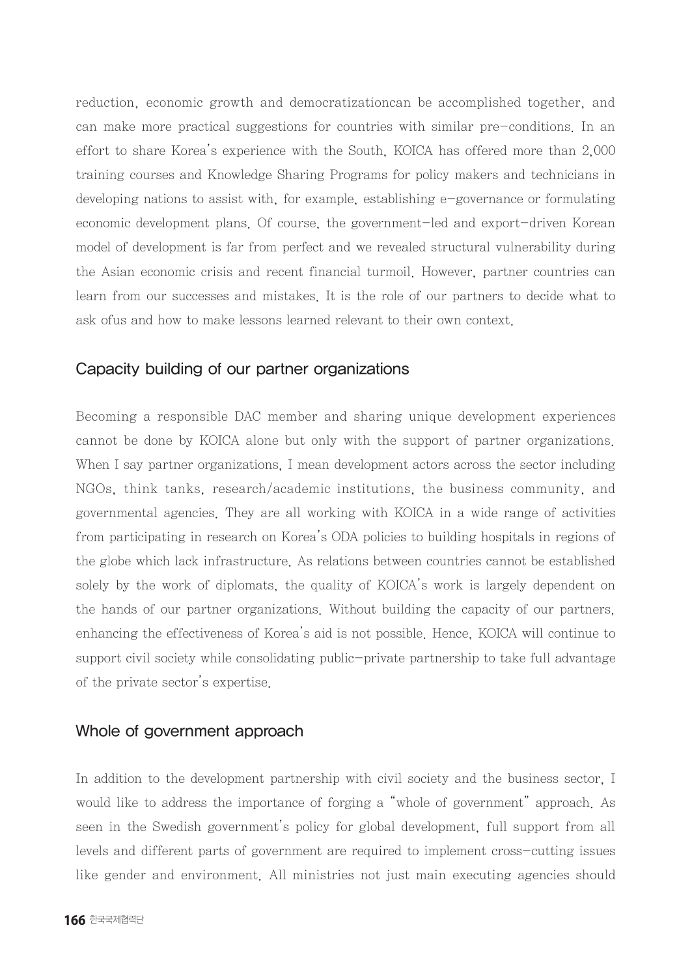reduction, economic growth and democratizationcan be accomplished together, and can make more practical suggestions for countries with similar pre-conditions. In an effort to share Korea's experience with the South, KOICA has offered more than 2,000 training courses and Knowledge Sharing Programs for policy makers and technicians in developing nations to assist with, for example, establishing e-governance or formulating economic development plans. Of course, the government-led and export-driven Korean model of development is far from perfect and we revealed structural vulnerability during the Asian economic crisis and recent financial turmoil. However, partner countries can learn from our successes and mistakes. It is the role of our partners to decide what to ask ofus and how to make lessons learned relevant to their own context.

#### Capacity building of our partner organizations

Becoming a responsible DAC member and sharing unique development experiences cannot be done by KOICA alone but only with the support of partner organizations. When I say partner organizations, I mean development actors across the sector including NGOs, think tanks, research/academic institutions, the business community, and governmental agencies. They are all working with KOICA in a wide range of activities from participating in research on Korea's ODA policies to building hospitals in regions of the globe which lack infrastructure. As relations between countries cannot be established solely by the work of diplomats, the quality of KOICA's work is largely dependent on the hands of our partner organizations. Without building the capacity of our partners, enhancing the effectiveness of Korea's aid is not possible. Hence, KOICA will continue to support civil society while consolidating public-private partnership to take full advantage of the private sector's expertise.

#### Whole of government approach

In addition to the development partnership with civil society and the business sector, I would like to address the importance of forging a "whole of government" approach. As seen in the Swedish government's policy for global development, full support from all levels and different parts of government are required to implement cross-cutting issues like gender and environment. All ministries not just main executing agencies should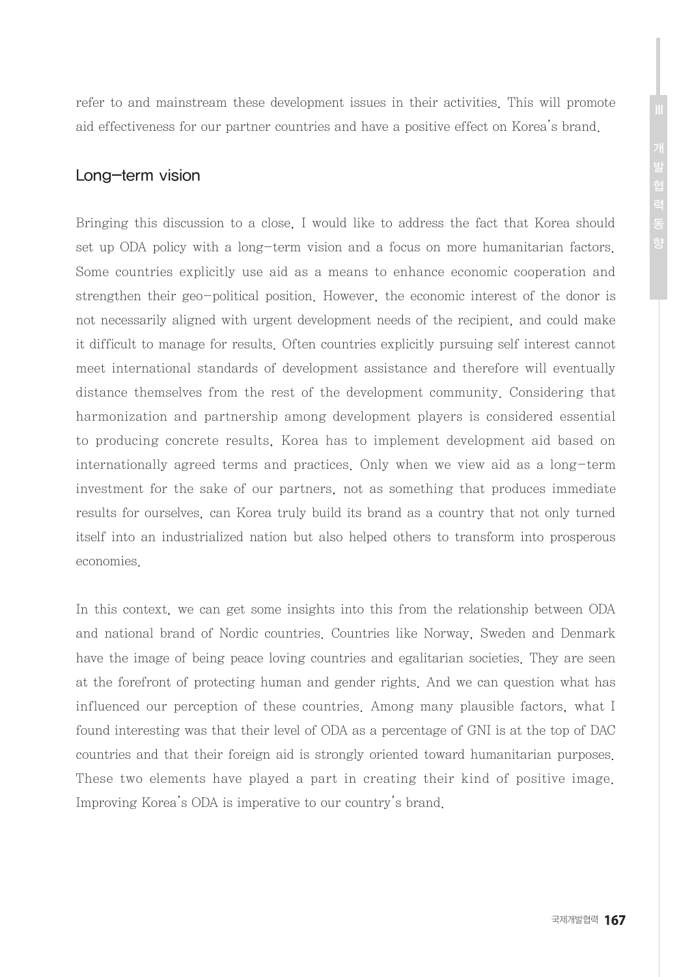refer to and mainstream these development issues in their activities. This will promote aid effectiveness for our partner countries and have a positive effect on Korea's brand.

## Long-term vision

Bringing this discussion to a close, I would like to address the fact that Korea should set up ODA policy with a long-term vision and a focus on more humanitarian factors. Some countries explicitly use aid as a means to enhance economic cooperation and strengthen their geo-political position. However, the economic interest of the donor is not necessarily aligned with urgent development needs of the recipient, and could make it difficult to manage for results. Often countries explicitly pursuing self interest cannot meet international standards of development assistance and therefore will eventually distance themselves from the rest of the development community. Considering that harmonization and partnership among development players is considered essential to producing concrete results, Korea has to implement development aid based on internationally agreed terms and practices. Only when we view aid as a long-term investment for the sake of our partners, not as something that produces immediate results for ourselves, can Korea truly build its brand as a country that not only turned itself into an industrialized nation but also helped others to transform into prosperous economies.

In this context, we can get some insights into this from the relationship between ODA and national brand of Nordic countries. Countries like Norway, Sweden and Denmark have the image of being peace loving countries and egalitarian societies. They are seen at the forefront of protecting human and gender rights. And we can question what has influenced our perception of these countries. Among many plausible factors, what I found interesting was that their level of ODA as a percentage of GNI is at the top of DAC countries and that their foreign aid is strongly oriented toward humanitarian purposes. These two elements have played a part in creating their kind of positive image. Improving Korea's ODA is imperative to our country's brand.